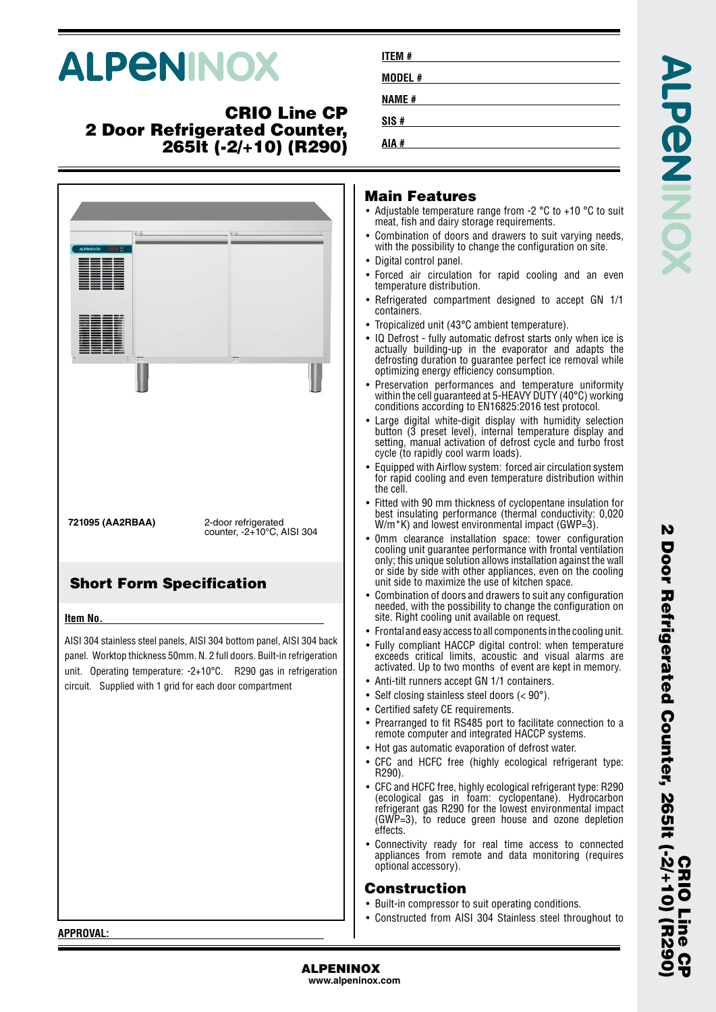# **ALPENINOX**

## **CRIO Line CP 2 Door Refrigerated Counter, 265lt (-2/+10) (R290)**



| ITEM #       |  |  |  |
|--------------|--|--|--|
| MODEL#       |  |  |  |
| <b>NAME#</b> |  |  |  |
| SIS#         |  |  |  |
| AIA #        |  |  |  |

#### **Main Features**

- Adjustable temperature range from -2 °C to +10 °C to suit meat, fish and dairy storage requirements.
- • Combination of doors and drawers to suit varying needs, with the possibility to change the configuration on site.
- Digital control panel.
- • Forced air circulation for rapid cooling and an even temperature distribution.
- • Refrigerated compartment designed to accept GN 1/1 containers.
- Tropicalized unit (43°C ambient temperature).
- IQ Defrost fully automatic defrost starts only when ice is actually building-up in the evaporator and adapts the defrosting duration to guarantee perfect ice removal while optimizing energy efficiency consumption.
- •• Preservation performances and temperature uniformity within the cell guaranteed at 5-HEAVY DUTY (40°C) working conditions according to EN16825:2016 test protocol.
- • Large digital white-digit display with humidity selection button (3 preset level), internal temperature display and setting, manual activation of defrost cycle and turbo frost cycle (to rapidly cool warm loads).
- • Equipped with Airflow system: forced air circulation system for rapid cooling and even temperature distribution within the cell.
- • Fitted with 90 mm thickness of cyclopentane insulation for best insulating performance (thermal conductivity: 0,020 W/m<sup>\*</sup>K) and lowest environmental impact (GWP=3).
- 0mm clearance installation space: tower configuration cooling unit guarantee performance with frontal ventilation only; this unique solution allows installation against the wall or side by side with other appliances, even on the cooling unit side to maximize the use of kitchen space.
- • Combination of doors and drawers to suit any configuration needed, with the possibility to change the configuration on site. Right cooling unit available on request.
- Frontal and easy access to all components in the cooling unit.
- Fully compliant HACCP digital control: when temperature exceeds critical limits, acoustic and visual alarms are activated. Up to two months of event are kept in memory.
- •Anti-tilt runners accept GN 1/1 containers.
- Self closing stainless steel doors (< 90°).
- Certified safety CE requirements.
- Prearranged to fit RS485 port to facilitate connection to a remote computer and integrated HACCP systems.
- Hot gas automatic evaporation of defrost water.
- CFC and HCFC free (highly ecological refrigerant type: R290).
- CFC and HCFC free, highly ecological refrigerant type: R290 (ecological gas in foam: cyclopentane). Hydrocarbon refrigerant gas R290 for the lowest environmental impact (GWP=3), to reduce green house and ozone depletion effects.
- • Connectivity ready for real time access to connected appliances from remote and data monitoring (requires optional accessory).

#### **Construction**

- Built-in compressor to suit operating conditions.
- •Constructed from AISI 304 Stainless steel throughout to

N

**APPROVAL:**

#### **www.alpeninox.com**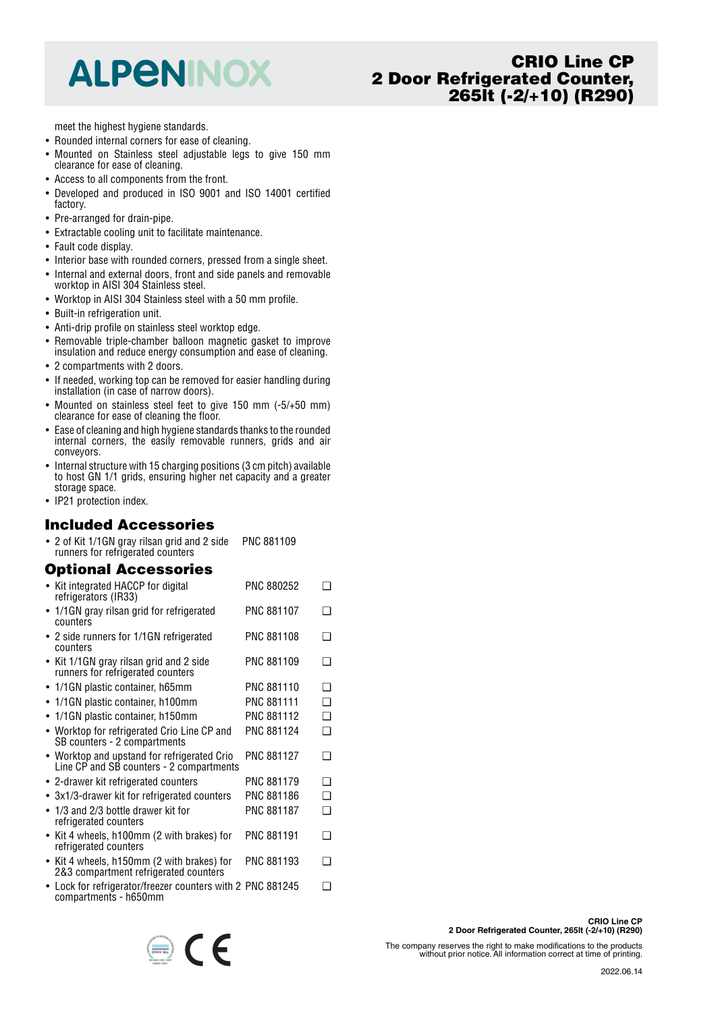## **ALPENINOX**

## **CRIO Line CP 2 Door Refrigerated Counter, 265lt (-2/+10) (R290)**

meet the highest hygiene standards.

- Rounded internal corners for ease of cleaning.
- • Mounted on Stainless steel adjustable legs to give 150 mm clearance for ease of cleaning.
- Access to all components from the front.
- Developed and produced in ISO 9001 and ISO 14001 certified factory.
- Pre-arranged for drain-pipe.
- Extractable cooling unit to facilitate maintenance.
- Fault code display.
- Interior base with rounded corners, pressed from a single sheet.
- Internal and external doors, front and side panels and removable worktop in AISI 304 Stainless steel.
- Worktop in AISI 304 Stainless steel with a 50 mm profile.
- Built-in refrigeration unit.
- Anti-drip profile on stainless steel worktop edge.
- Removable triple-chamber balloon magnetic gasket to improve insulation and reduce energy consumption and ease of cleaning.
- 2 compartments with 2 doors.
- If needed, working top can be removed for easier handling during installation (in case of narrow doors).
- Mounted on stainless steel feet to give 150 mm (-5/+50 mm) clearance for ease of cleaning the floor.
- Ease of cleaning and high hygiene standards thanks to the rounded internal corners, the easily removable runners, grids and air conveyors.
- Internal structure with 15 charging positions (3 cm pitch) available to host GN 1/1 grids, ensuring higher net capacity and a greater storage space.
- IP21 protection index.

#### **Included Accessories**

• 2 of Kit 1/1GN gray rilsan grid and 2 side runners for refrigerated counters PNC 881109

#### **Optional Accessories**

| • Kit integrated HACCP for digital<br>refrigerators (IR33)                              | PNC 880252        | ר |
|-----------------------------------------------------------------------------------------|-------------------|---|
| • 1/1 GN gray rilsan grid for refrigerated<br>counters                                  | <b>PNC 881107</b> | ∩ |
| • 2 side runners for 1/1GN refrigerated<br>counters                                     | PNC 881108        | ∩ |
| • Kit 1/1GN gray rilsan grid and 2 side<br>runners for refrigerated counters            | PNC 881109        | ∩ |
| • 1/1GN plastic container, h65mm                                                        | PNC 881110        | ❏ |
| 1/1GN plastic container, h100mm                                                         | PNC 881111        | ❏ |
| $\bullet$ 1/1GN plastic container, h150mm                                               | PNC 881112        | ❏ |
| • Worktop for refrigerated Crio Line CP and<br>SB counters - 2 compartments             | PNC 881124        | ◻ |
| • Worktop and upstand for refrigerated Crio<br>Line CP and SB counters - 2 compartments | <b>PNC 881127</b> | ∩ |
| • 2-drawer kit refrigerated counters                                                    | <b>PNC 881179</b> | ∩ |
| $\bullet$ 3x1/3-drawer kit for refrigerated counters                                    | PNC 881186        | ❏ |
| $\bullet$ 1/3 and 2/3 bottle drawer kit for<br>refrigerated counters                    | PNC 881187        | ◻ |
| • Kit 4 wheels, h100mm (2 with brakes) for<br>refrigerated counters                     | PNC 881191        | ❏ |
| • Kit 4 wheels, h150mm (2 with brakes) for<br>2&3 compartment refrigerated counters     | PNC 881193        | ❏ |
| • Lock for refrigerator/freezer counters with 2 PNC 881245                              |                   | ❏ |

compartments - h650mm



The company reserves the right to make modifications to the products without prior notice. All information correct at time of printing.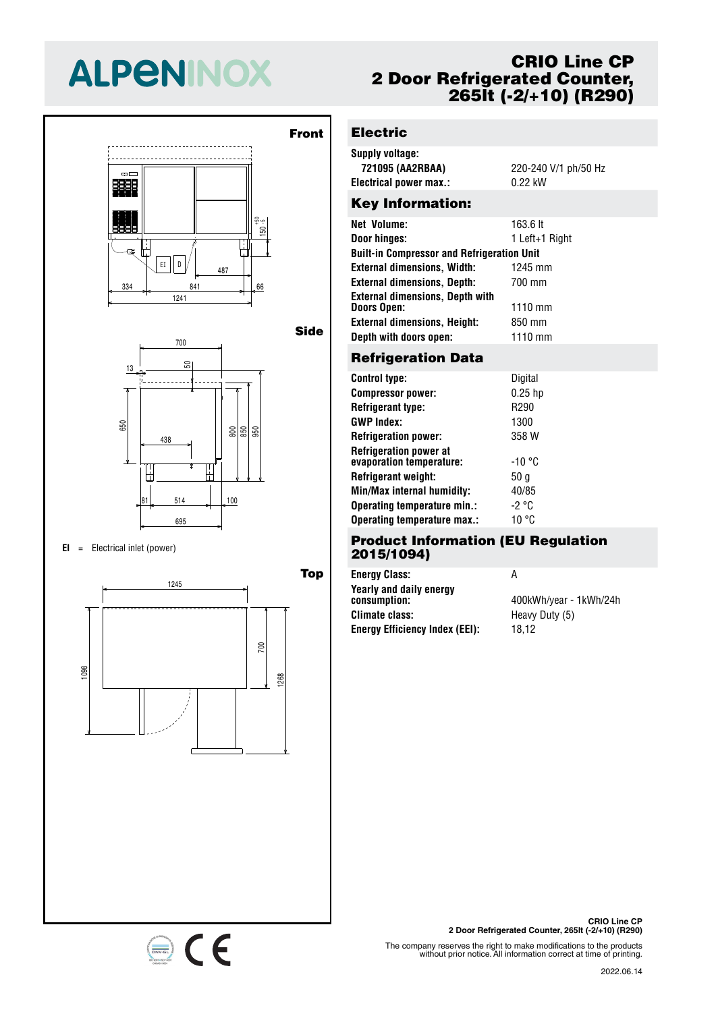# **ALPENINOX**





#### $EI =$  Electrical inlet (power)

334 841 66



## **CRIO Line CP 2 Door Refrigerated Counter, 265lt (-2/+10) (R290)**

## 50 **Electric**

 $\overline{1}$ 

<u>155</u>

- 1

 $\overline{1}$ 

13

13

l -

| Supply voltage:        |                      |
|------------------------|----------------------|
| 721095 (AA2RBAA)       | 220-240 V/1 ph/50 Hz |
| Electrical power max.: | 0.22 kW              |
|                        |                      |

## Key Information:

| <b>Net Volume:</b>                                | 163.6 lt          |  |  |
|---------------------------------------------------|-------------------|--|--|
| Door hinges:                                      | 1 Left+1 Right    |  |  |
| <b>Built-in Compressor and Refrigeration Unit</b> |                   |  |  |
| <b>External dimensions, Width:</b>                | 1245 mm           |  |  |
| <b>External dimensions, Depth:</b>                | 700 mm            |  |  |
| <b>External dimensions, Depth with</b>            |                   |  |  |
| <b>Doors Open:</b>                                | $1110 \text{ mm}$ |  |  |
| <b>External dimensions, Height:</b>               | 850 mm            |  |  |
| Depth with doors open:                            | 1110 mm           |  |  |
|                                                   |                   |  |  |

## 700 **Refrigeration Data**

| <b>Control type:</b>                                      | Digital   |
|-----------------------------------------------------------|-----------|
| <b>Compressor power:</b>                                  | $0.25$ hp |
| <b>Refrigerant type:</b>                                  | R290      |
| <b>GWP Index:</b>                                         | 1300      |
| <b>Refrigeration power:</b>                               | 358 W     |
| <b>Refrigeration power at</b><br>evaporation temperature: | -10 °C    |
| Refrigerant weight:                                       | 50 g      |
| Min/Max internal humidity:                                | 40/85     |
| Operating temperature min.:                               | -2 °C     |
| Operating temperature max.:                               | 10 °C     |
|                                                           |           |

#### 695 **Product Information (EU Regulation 2015/1094)**

| <b>Energy Class:</b>                    | А                      |
|-----------------------------------------|------------------------|
| Yearly and daily energy<br>consumption: | 400kWh/year - 1kWh/24h |
| <b>Climate class:</b>                   | Heavy Duty (5)         |
| <b>Energy Efficiency Index (EEI):</b>   | 18.12                  |

**CRIO Line CP 2 Door Refrigerated Counter, 265lt (-2/+10) (R290)**

The company reserves the right to make modifications to the products without prior notice. All information correct at time of printing.